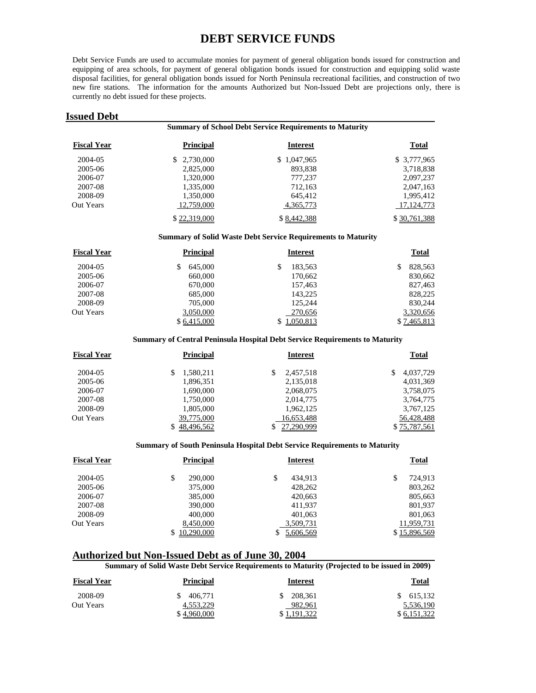# **DEBT SERVICE FUNDS**

Debt Service Funds are used to accumulate monies for payment of general obligation bonds issued for construction and equipping of area schools, for payment of general obligation bonds issued for construction and equipping solid waste disposal facilities, for general obligation bonds issued for North Peninsula recreational facilities, and construction of two new fire stations. The information for the amounts Authorized but Non-Issued Debt are projections only, there is currently no debt issued for these projects.

## **Issued Debt**

|                    |                  | <b>Summary of School Debt Service Requirements to Maturity</b>      |              |  |  |  |
|--------------------|------------------|---------------------------------------------------------------------|--------------|--|--|--|
| <b>Fiscal Year</b> | <b>Principal</b> | <b>Interest</b>                                                     | <b>Total</b> |  |  |  |
| 2004-05            | 2,730,000<br>SS. | \$1,047,965                                                         | \$ 3,777,965 |  |  |  |
| 2005-06            | 2,825,000        | 893,838                                                             | 3,718,838    |  |  |  |
| 2006-07            | 1,320,000        | 777,237                                                             | 2,097,237    |  |  |  |
| 2007-08            | 1.335,000        | 712,163                                                             | 2,047,163    |  |  |  |
| 2008-09            | 1,350,000        | 645,412                                                             | 1,995,412    |  |  |  |
| <b>Out Years</b>   | 12,759,000       | 4,365,773                                                           | 17, 124, 773 |  |  |  |
|                    | \$22,319,000     | \$8,442,388                                                         | \$30,761,388 |  |  |  |
|                    |                  | <b>Summary of Solid Waste Debt Service Requirements to Maturity</b> |              |  |  |  |

## **Fiscal Year Principal Interest Total**  2004-05 \$ 645,000 \$ 183,563 \$ 828,563 2005-06 660,000 170,662 830,662 2006-07 670,000 157,463 827,463 2007-08 685,000 143,225 828,225 2008-09 705,000 125,244 830,244 Out Years 3,050,000 270,656 3,320,656 3,320,656 \$ 6,415,000 \$ 1,050,813 \$ 7,465,813

#### **Summary of Central Peninsula Hospital Debt Service Requirements to Maturity**

| <b>Fiscal Year</b> | <b>Principal</b> | <b>Interest</b> | <b>Total</b>    |
|--------------------|------------------|-----------------|-----------------|
| 2004-05            | 1,580,211        | 2,457,518       | \$<br>4,037,729 |
| 2005-06            | 1,896,351        | 2,135,018       | 4,031,369       |
| 2006-07            | 1,690,000        | 2,068,075       | 3,758,075       |
| 2007-08            | 1,750,000        | 2,014,775       | 3,764,775       |
| 2008-09            | 1,805,000        | 1,962,125       | 3,767,125       |
| <b>Out Years</b>   | 39,775,000       | 16,653,488      | 56,428,488      |
|                    | \$48,496,562     | 27.290.999      | \$75,787,561    |

#### **Summary of South Peninsula Hospital Debt Service Requirements to Maturity**

| <b>Fiscal Year</b> | <b>Principal</b> | <b>Interest</b> | <b>Total</b>  |
|--------------------|------------------|-----------------|---------------|
| 2004-05            | \$<br>290,000    | 434.913         | 724,913<br>\$ |
| 2005-06            | 375,000          | 428,262         | 803,262       |
| 2006-07            | 385,000          | 420,663         | 805,663       |
| 2007-08            | 390,000          | 411,937         | 801,937       |
| 2008-09            | 400,000          | 401,063         | 801,063       |
| Out Years          | 8,450,000        | 3,509,731       | 11,959,731    |
|                    | 10,290,000       | 5,606,569       | \$15,896,569  |

**Authorized but Non-Issued Debt as of June 30, 2004 Summary of Solid Waste Debt Service Requirements to Maturity (Projected to be issued in 2009)** 

| <b>Fiscal Year</b> | Principal   | <b>Interest</b> | <b>Total</b> |
|--------------------|-------------|-----------------|--------------|
| 2008-09            | 406,771     | 208,361<br>SS.  | \$615,132    |
| Out Years          | 4.553.229   | 982,961         | 5,536,190    |
|                    | \$4,960,000 | .191.322        | 6.151.322    |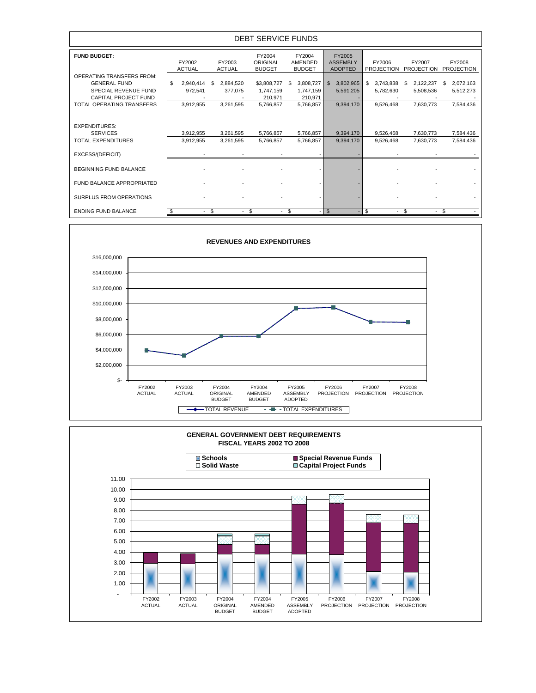| <b>DEBT SERVICE FUNDS</b>                               |                         |                        |                         |                                     |                                    |                                             |                             |                             |                             |
|---------------------------------------------------------|-------------------------|------------------------|-------------------------|-------------------------------------|------------------------------------|---------------------------------------------|-----------------------------|-----------------------------|-----------------------------|
| <b>FUND BUDGET:</b>                                     | FY2002<br><b>ACTUAL</b> |                        | FY2003<br><b>ACTUAL</b> | FY2004<br>ORIGINAL<br><b>BUDGET</b> | FY2004<br>AMENDED<br><b>BUDGET</b> | FY2005<br><b>ASSEMBLY</b><br><b>ADOPTED</b> | FY2006<br><b>PROJECTION</b> | FY2007<br><b>PROJECTION</b> | FY2008<br><b>PROJECTION</b> |
| <b>OPERATING TRANSFERS FROM:</b><br><b>GENERAL FUND</b> | \$                      | 2.940.414              | 2,884,520<br>S          | \$3,808,727                         | 3,808,727<br>S.                    | 3,802,965<br>$\mathbb{S}$                   | 3.743.838<br>\$             | 2,122,237<br>\$             | 2,072,163<br>\$             |
| SPECIAL REVENUE FUND<br>CAPITAL PROJECT FUND            |                         | 972,541                | 377,075                 | 1,747,159<br>210,971                | 1,747,159<br>210.971               | 5,591,205                                   | 5,782,630                   | 5,508,536                   | 5,512,273                   |
| TOTAL OPERATING TRANSFERS                               |                         | 3,912,955              | 3,261,595               | 5,766,857                           | 5,766,857                          | 9,394,170                                   | 9,526,468                   | 7,630,773                   | 7,584,436                   |
| <b>EXPENDITURES:</b>                                    |                         |                        |                         |                                     |                                    |                                             |                             |                             |                             |
| <b>SERVICES</b><br><b>TOTAL EXPENDITURES</b>            |                         | 3,912,955<br>3,912,955 | 3,261,595<br>3,261,595  | 5,766,857<br>5,766,857              | 5,766,857<br>5,766,857             | 9,394,170<br>9,394,170                      | 9,526,468<br>9,526,468      | 7,630,773<br>7,630,773      | 7,584,436<br>7,584,436      |
| EXCESS/(DEFICIT)                                        |                         |                        |                         |                                     |                                    |                                             |                             |                             |                             |
| <b>BEGINNING FUND BALANCE</b>                           |                         |                        |                         |                                     |                                    |                                             |                             |                             |                             |
| FUND BALANCE APPROPRIATED                               |                         |                        |                         |                                     |                                    |                                             |                             |                             |                             |
| <b>SURPLUS FROM OPERATIONS</b>                          |                         |                        |                         |                                     |                                    |                                             |                             |                             |                             |
| <b>ENDING FUND BALANCE</b>                              | \$.                     | $-$ \$                 |                         | $-$ \$                              | $-$ \$<br>$\overline{\phantom{a}}$ | $\mathfrak{S}$                              | \$                          | $-$ \$                      | $-$ \$                      |



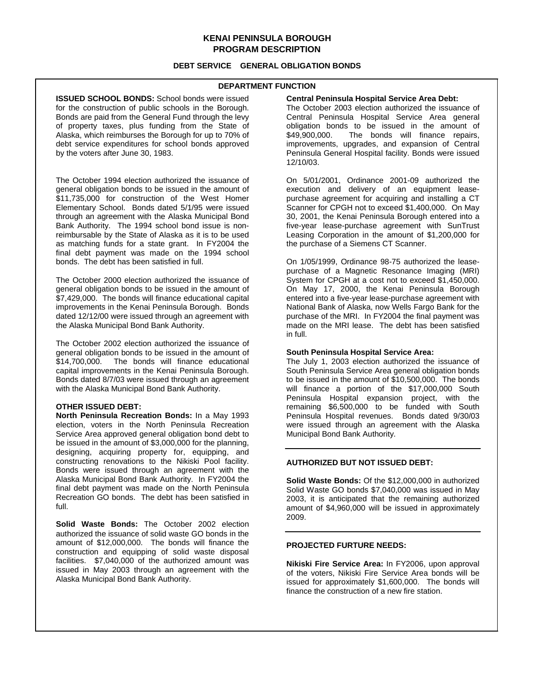## **KENAI PENINSULA BOROUGH PROGRAM DESCRIPTION**

## **DEBT SERVICE GENERAL OBLIGATION BONDS**

## **DEPARTMENT FUNCTION**

**ISSUED SCHOOL BONDS:** School bonds were issued for the construction of public schools in the Borough. Bonds are paid from the General Fund through the levy of property taxes, plus funding from the State of Alaska, which reimburses the Borough for up to 70% of debt service expenditures for school bonds approved by the voters after June 30, 1983.

The October 1994 election authorized the issuance of general obligation bonds to be issued in the amount of  $$11,735,000$  for construction of the West Homer Elementary School. Bonds dated 5/1/95 were issued through an agreement with the Alaska Municipal Bond Bank Authority. The 1994 school bond issue is nonreimbursable by the State of Alaska as it is to be used as matching funds for a state grant. In FY2004 the final debt payment was made on the 1994 school bonds. The debt has been satisfied in full.

The October 2000 election authorized the issuance of general obligation bonds to be issued in the amount of \$7,429,000. The bonds will finance educational capital improvements in the Kenai Peninsula Borough. Bonds dated 12/12/00 were issued through an agreement with the Alaska Municipal Bond Bank Authority.

The October 2002 election authorized the issuance of general obligation bonds to be issued in the amount of \$14,700,000. The bonds will finance educational capital improvements in the Kenai Peninsula Borough. Bonds dated 8/7/03 were issued through an agreement with the Alaska Municipal Bond Bank Authority.

#### **OTHER ISSUED DEBT:**

**North Peninsula Recreation Bonds:** In a May 1993 election, voters in the North Peninsula Recreation Service Area approved general obligation bond debt to be issued in the amount of \$3,000,000 for the planning, designing, acquiring property for, equipping, and constructing renovations to the Nikiski Pool facility. Bonds were issued through an agreement with the Alaska Municipal Bond Bank Authority. In FY2004 the final debt payment was made on the North Peninsula Recreation GO bonds. The debt has been satisfied in full.

**Solid Waste Bonds:** The October 2002 election authorized the issuance of solid waste GO bonds in the amount of \$12,000,000. The bonds will finance the construction and equipping of solid waste disposal facilities. \$7,040,000 of the authorized amount was issued in May 2003 through an agreement with the Alaska Municipal Bond Bank Authority.

#### **Central Peninsula Hospital Service Area Debt:**

The October 2003 election authorized the issuance of Central Peninsula Hospital Service Area general obligation bonds to be issued in the amount of \$49,900,000. The bonds will finance repairs, The bonds will finance repairs, improvements, upgrades, and expansion of Central Peninsula General Hospital facility. Bonds were issued 12/10/03.

On 5/01/2001, Ordinance 2001-09 authorized the execution and delivery of an equipment leasepurchase agreement for acquiring and installing a CT Scanner for CPGH not to exceed \$1,400,000. On May 30, 2001, the Kenai Peninsula Borough entered into a five-year lease-purchase agreement with SunTrust Leasing Corporation in the amount of \$1,200,000 for the purchase of a Siemens CT Scanner.

On 1/05/1999, Ordinance 98-75 authorized the leasepurchase of a Magnetic Resonance Imaging (MRI) System for CPGH at a cost not to exceed \$1,450,000. On May 17, 2000, the Kenai Peninsula Borough entered into a five-year lease-purchase agreement with National Bank of Alaska, now Wells Fargo Bank for the purchase of the MRI. In FY2004 the final payment was made on the MRI lease. The debt has been satisfied in full.

## **South Peninsula Hospital Service Area:**

The July 1, 2003 election authorized the issuance of South Peninsula Service Area general obligation bonds to be issued in the amount of \$10,500,000. The bonds will finance a portion of the \$17,000,000 South Peninsula Hospital expansion project, with the remaining \$6,500,000 to be funded with South Peninsula Hospital revenues. Bonds dated 9/30/03 were issued through an agreement with the Alaska Municipal Bond Bank Authority.

### **AUTHORIZED BUT NOT ISSUED DEBT:**

**Solid Waste Bonds:** Of the \$12,000,000 in authorized Solid Waste GO bonds \$7,040,000 was issued in May 2003, it is anticipated that the remaining authorized amount of \$4,960,000 will be issued in approximately 2009.

### **PROJECTED FURTURE NEEDS:**

**Nikiski Fire Service Area:** In FY2006, upon approval of the voters, Nikiski Fire Service Area bonds will be issued for approximately \$1,600,000. The bonds will finance the construction of a new fire station.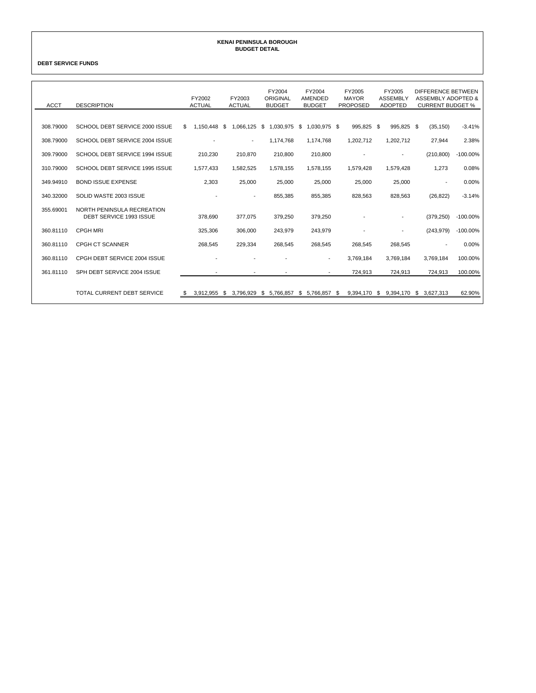#### **KENAI PENINSULA BOROUGH BUDGET DETAIL**

**DEBT SERVICE FUNDS**

| <b>ACCT</b> | <b>DESCRIPTION</b>                                    | FY2002<br><b>ACTUAL</b> | FY2003<br><b>ACTUAL</b>  | FY2004<br>ORIGINAL<br><b>BUDGET</b> | FY2004<br>AMENDED<br><b>BUDGET</b> | FY2005<br><b>MAYOR</b><br><b>PROPOSED</b> | FY2005<br><b>ASSEMBLY</b><br><b>ADOPTED</b> | DIFFERENCE BETWEEN<br>ASSEMBLY ADOPTED &<br><b>CURRENT BUDGET %</b> |             |
|-------------|-------------------------------------------------------|-------------------------|--------------------------|-------------------------------------|------------------------------------|-------------------------------------------|---------------------------------------------|---------------------------------------------------------------------|-------------|
| 308.79000   | SCHOOL DEBT SERVICE 2000 ISSUE                        | \$                      | 1,066,125                | \$1,030,975                         | $$1,030,975$ \$                    | 995,825 \$                                | 995,825 \$                                  |                                                                     | $-3.41%$    |
|             |                                                       | 1,150,448 \$            |                          |                                     |                                    |                                           |                                             | (35, 150)                                                           |             |
| 308.79000   | SCHOOL DEBT SERVICE 2004 ISSUE                        |                         | $\overline{\phantom{a}}$ | 1,174,768                           | 1,174,768                          | 1,202,712                                 | 1,202,712                                   | 27,944                                                              | 2.38%       |
| 309.79000   | SCHOOL DEBT SERVICE 1994 ISSUE                        | 210,230                 | 210,870                  | 210,800                             | 210,800                            |                                           | $\overline{\phantom{a}}$                    | (210, 800)                                                          | $-100.00\%$ |
| 310.79000   | SCHOOL DEBT SERVICE 1995 ISSUE                        | 1,577,433               | 1,582,525                | 1,578,155                           | 1,578,155                          | 1,579,428                                 | 1,579,428                                   | 1,273                                                               | 0.08%       |
| 349.94910   | <b>BOND ISSUE EXPENSE</b>                             | 2,303                   | 25,000                   | 25,000                              | 25,000                             | 25,000                                    | 25,000                                      | $\overline{\phantom{a}}$                                            | 0.00%       |
| 340.32000   | SOLID WASTE 2003 ISSUE                                |                         |                          | 855.385                             | 855,385                            | 828.563                                   | 828,563                                     | (26, 822)                                                           | $-3.14%$    |
| 355.69001   | NORTH PENINSULA RECREATION<br>DEBT SERVICE 1993 ISSUE | 378.690                 | 377.075                  | 379,250                             | 379,250                            |                                           | $\overline{\phantom{a}}$                    | (379, 250)                                                          | $-100.00\%$ |
| 360.81110   | <b>CPGH MRI</b>                                       | 325,306                 | 306.000                  | 243.979                             | 243,979                            |                                           | $\overline{a}$                              | (243, 979)                                                          | $-100.00\%$ |
| 360.81110   | <b>CPGH CT SCANNER</b>                                | 268,545                 | 229.334                  | 268.545                             | 268,545                            | 268,545                                   | 268,545                                     | $\overline{\phantom{a}}$                                            | 0.00%       |
| 360.81110   | CPGH DEBT SERVICE 2004 ISSUE                          |                         |                          |                                     | $\overline{\phantom{a}}$           | 3,769,184                                 | 3,769,184                                   | 3.769.184                                                           | 100.00%     |
| 361.81110   | SPH DEBT SERVICE 2004 ISSUE                           |                         |                          |                                     |                                    | 724,913                                   | 724,913                                     | 724,913                                                             | 100.00%     |
|             | TOTAL CURRENT DEBT SERVICE                            | -SS                     | 3.912.955 \$ 3.796.929   | \$ 5.766.857                        | $$5.766.857$ \$                    |                                           | 9.394.170 \$ 9.394.170 \$ 3.627.313         |                                                                     | 62.90%      |